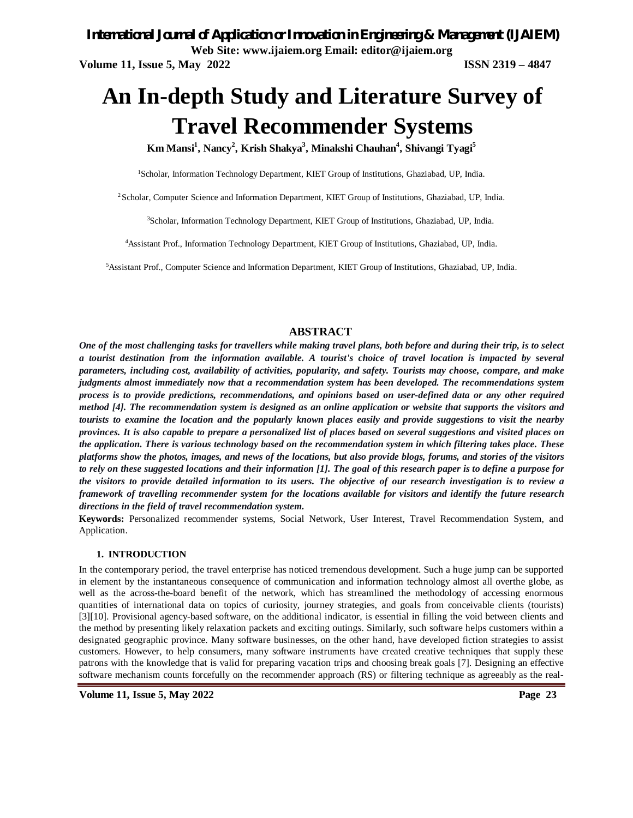*International Journal of Application or Innovation in Engineering & Management (IJAIEM)* **Web Site: www.ijaiem.org Email: editor@ijaiem.org Volume 11, Issue 5, May 2022 ISSN 2319 – 4847**

# **An In-depth Study and Literature Survey of Travel Recommender Systems**

**Km Mansi<sup>1</sup> , Nancy<sup>2</sup> , Krish Shakya<sup>3</sup> , Minakshi Chauhan<sup>4</sup> , Shivangi Tyagi<sup>5</sup>**

<sup>1</sup>Scholar, Information Technology Department, KIET Group of Institutions, Ghaziabad, UP, India.

<sup>2</sup>Scholar, Computer Science and Information Department, KIET Group of Institutions, Ghaziabad, UP, India.

<sup>3</sup>Scholar, Information Technology Department, KIET Group of Institutions, Ghaziabad, UP, India.

<sup>4</sup>Assistant Prof., Information Technology Department, KIET Group of Institutions, Ghaziabad, UP, India.

<sup>5</sup>Assistant Prof., Computer Science and Information Department, KIET Group of Institutions, Ghaziabad, UP, India.

# **ABSTRACT**

*One of the most challenging tasks for travellers while making travel plans, both before and during their trip, is to select a tourist destination from the information available. A tourist's choice of travel location is impacted by several parameters, including cost, availability of activities, popularity, and safety. Tourists may choose, compare, and make judgments almost immediately now that a recommendation system has been developed. The recommendations system process is to provide predictions, recommendations, and opinions based on user-defined data or any other required method [4]. The recommendation system is designed as an online application or website that supports the visitors and tourists to examine the location and the popularly known places easily and provide suggestions to visit the nearby provinces. It is also capable to prepare a personalized list of places based on several suggestions and visited places on the application. There is various technology based on the recommendation system in which filtering takes place. These platforms show the photos, images, and news of the locations, but also provide blogs, forums, and stories of the visitors to rely on these suggested locations and their information [1]. The goal of this research paper is to define a purpose for the visitors to provide detailed information to its users. The objective of our research investigation is to review a framework of travelling recommender system for the locations available for visitors and identify the future research directions in the field of travel recommendation system.*

**Keywords:** Personalized recommender systems, Social Network, User Interest, Travel Recommendation System, and Application.

#### **1. INTRODUCTION**

In the contemporary period, the travel enterprise has noticed tremendous development. Such a huge jump can be supported in element by the instantaneous consequence of communication and information technology almost all overthe globe, as well as the across-the-board benefit of the network, which has streamlined the methodology of accessing enormous quantities of international data on topics of curiosity, journey strategies, and goals from conceivable clients (tourists) [3][10]. Provisional agency-based software, on the additional indicator, is essential in filling the void between clients and the method by presenting likely relaxation packets and exciting outings. Similarly, such software helps customers within a designated geographic province. Many software businesses, on the other hand, have developed fiction strategies to assist customers. However, to help consumers, many software instruments have created creative techniques that supply these patrons with the knowledge that is valid for preparing vacation trips and choosing break goals [7]. Designing an effective software mechanism counts forcefully on the recommender approach (RS) or filtering technique as agreeably as the real-

**Volume 11, Issue 5, May 2022 Page 23**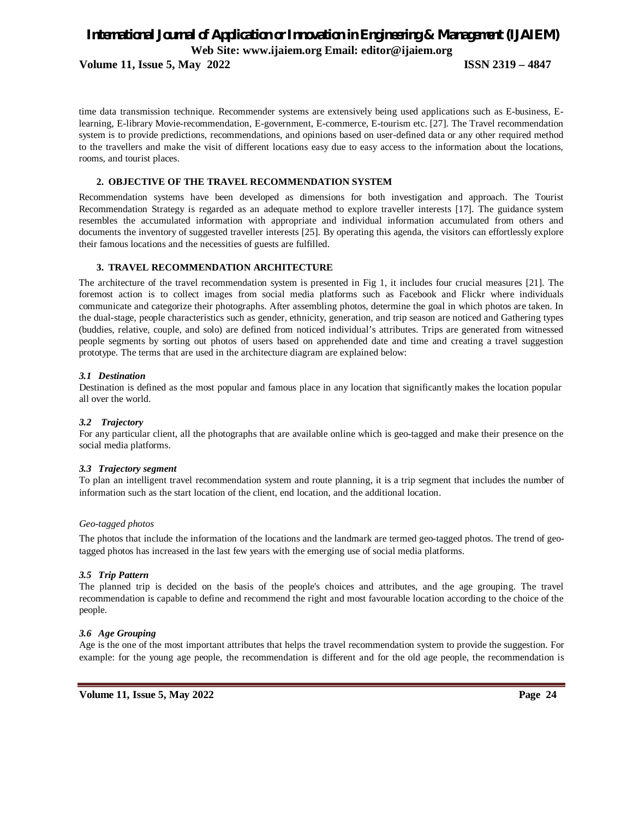**Volume 11, Issue 5, May 2022 ISSN 2319 – 4847**

time data transmission technique. Recommender systems are extensively being used applications such as E-business, Elearning, E-library Movie-recommendation, E-government, E-commerce, E-tourism etc. [27]. The Travel recommendation system is to provide predictions, recommendations, and opinions based on user-defined data or any other required method to the travellers and make the visit of different locations easy due to easy access to the information about the locations, rooms, and tourist places.

### **2. OBJECTIVE OF THE TRAVEL RECOMMENDATION SYSTEM**

Recommendation systems have been developed as dimensions for both investigation and approach. The Tourist Recommendation Strategy is regarded as an adequate method to explore traveller interests [17]. The guidance system resembles the accumulated information with appropriate and individual information accumulated from others and documents the inventory of suggested traveller interests [25]. By operating this agenda, the visitors can effortlessly explore their famous locations and the necessities of guests are fulfilled.

## **3. TRAVEL RECOMMENDATION ARCHITECTURE**

The architecture of the travel recommendation system is presented in Fig 1, it includes four crucial measures [21]. The foremost action is to collect images from social media platforms such as Facebook and Flickr where individuals communicate and categorize their photographs. After assembling photos, determine the goal in which photos are taken. In the dual-stage, people characteristics such as gender, ethnicity, generation, and trip season are noticed and Gathering types (buddies, relative, couple, and solo) are defined from noticed individual's attributes. Trips are generated from witnessed people segments by sorting out photos of users based on apprehended date and time and creating a travel suggestion prototype. The terms that are used in the architecture diagram are explained below:

#### *3.1 Destination*

Destination is defined as the most popular and famous place in any location that significantly makes the location popular all over the world.

#### *3.2 Trajectory*

For any particular client, all the photographs that are available online which is geo-tagged and make their presence on the social media platforms.

#### *3.3 Trajectory segment*

To plan an intelligent travel recommendation system and route planning, it is a trip segment that includes the number of information such as the start location of the client, end location, and the additional location.

#### *Geo-tagged photos*

The photos that include the information of the locations and the landmark are termed geo-tagged photos. The trend of geotagged photos has increased in the last few years with the emerging use of social media platforms.

#### *3.5 Trip Pattern*

The planned trip is decided on the basis of the people's choices and attributes, and the age grouping. The travel recommendation is capable to define and recommend the right and most favourable location according to the choice of the people.

#### *3.6 Age Grouping*

Age is the one of the most important attributes that helps the travel recommendation system to provide the suggestion. For example: for the young age people, the recommendation is different and for the old age people, the recommendation is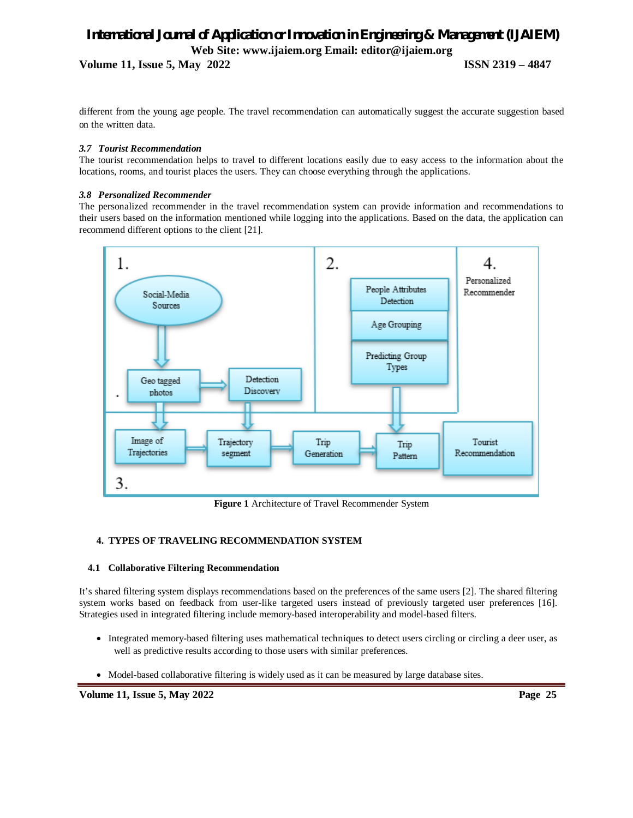**Volume 11, Issue 5, May 2022 ISSN 2319 – 4847**

different from the young age people. The travel recommendation can automatically suggest the accurate suggestion based on the written data.

## *3.7 Tourist Recommendation*

The tourist recommendation helps to travel to different locations easily due to easy access to the information about the locations, rooms, and tourist places the users. They can choose everything through the applications.

## *3.8 Personalized Recommender*

The personalized recommender in the travel recommendation system can provide information and recommendations to their users based on the information mentioned while logging into the applications. Based on the data, the application can recommend different options to the client [21].



**Figure 1** Architecture of Travel Recommender System

# **4. TYPES OF TRAVELING RECOMMENDATION SYSTEM**

#### **4.1 Collaborative Filtering Recommendation**

It's shared filtering system displays recommendations based on the preferences of the same users [2]. The shared filtering system works based on feedback from user-like targeted users instead of previously targeted user preferences [16]. Strategies used in integrated filtering include memory-based interoperability and model-based filters.

- Integrated memory-based filtering uses mathematical techniques to detect users circling or circling a deer user, as well as predictive results according to those users with similar preferences.
- Model-based collaborative filtering is widely used as it can be measured by large database sites.

**Volume 11, Issue 5, May 2022 Page 25**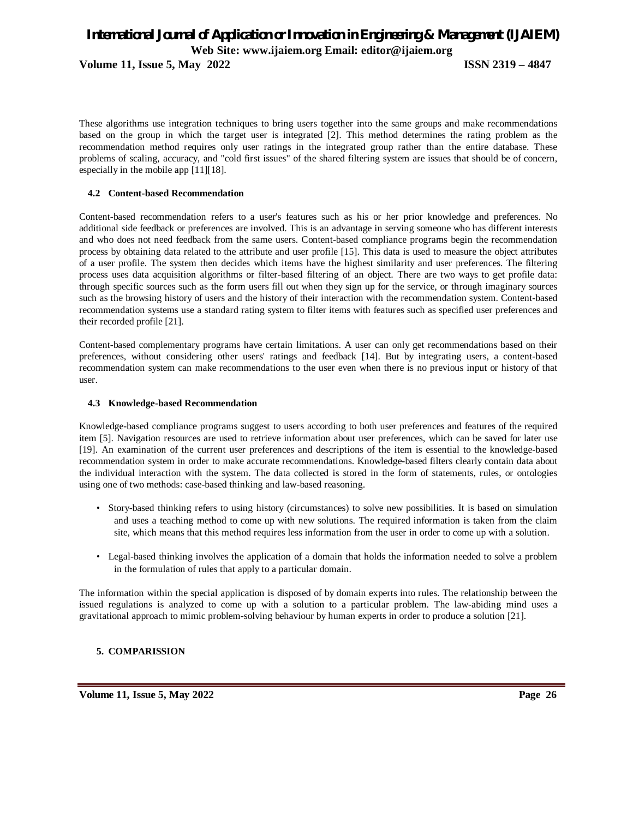**Volume 11, Issue 5, May 2022 ISSN 2319 – 4847**

These algorithms use integration techniques to bring users together into the same groups and make recommendations based on the group in which the target user is integrated [2]. This method determines the rating problem as the recommendation method requires only user ratings in the integrated group rather than the entire database. These problems of scaling, accuracy, and "cold first issues" of the shared filtering system are issues that should be of concern, especially in the mobile app [11][18].

# **4.2 Content-based Recommendation**

Content-based recommendation refers to a user's features such as his or her prior knowledge and preferences. No additional side feedback or preferences are involved. This is an advantage in serving someone who has different interests and who does not need feedback from the same users. Content-based compliance programs begin the recommendation process by obtaining data related to the attribute and user profile [15]. This data is used to measure the object attributes of a user profile. The system then decides which items have the highest similarity and user preferences. The filtering process uses data acquisition algorithms or filter-based filtering of an object. There are two ways to get profile data: through specific sources such as the form users fill out when they sign up for the service, or through imaginary sources such as the browsing history of users and the history of their interaction with the recommendation system. Content-based recommendation systems use a standard rating system to filter items with features such as specified user preferences and their recorded profile [21].

Content-based complementary programs have certain limitations. A user can only get recommendations based on their preferences, without considering other users' ratings and feedback [14]. But by integrating users, a content-based recommendation system can make recommendations to the user even when there is no previous input or history of that user.

#### **4.3 Knowledge-based Recommendation**

Knowledge-based compliance programs suggest to users according to both user preferences and features of the required item [5]. Navigation resources are used to retrieve information about user preferences, which can be saved for later use [19]. An examination of the current user preferences and descriptions of the item is essential to the knowledge-based recommendation system in order to make accurate recommendations. Knowledge-based filters clearly contain data about the individual interaction with the system. The data collected is stored in the form of statements, rules, or ontologies using one of two methods: case-based thinking and law-based reasoning.

- Story-based thinking refers to using history (circumstances) to solve new possibilities. It is based on simulation and uses a teaching method to come up with new solutions. The required information is taken from the claim site, which means that this method requires less information from the user in order to come up with a solution.
- Legal-based thinking involves the application of a domain that holds the information needed to solve a problem in the formulation of rules that apply to a particular domain.

The information within the special application is disposed of by domain experts into rules. The relationship between the issued regulations is analyzed to come up with a solution to a particular problem. The law-abiding mind uses a gravitational approach to mimic problem-solving behaviour by human experts in order to produce a solution [21].

# **5. COMPARISSION**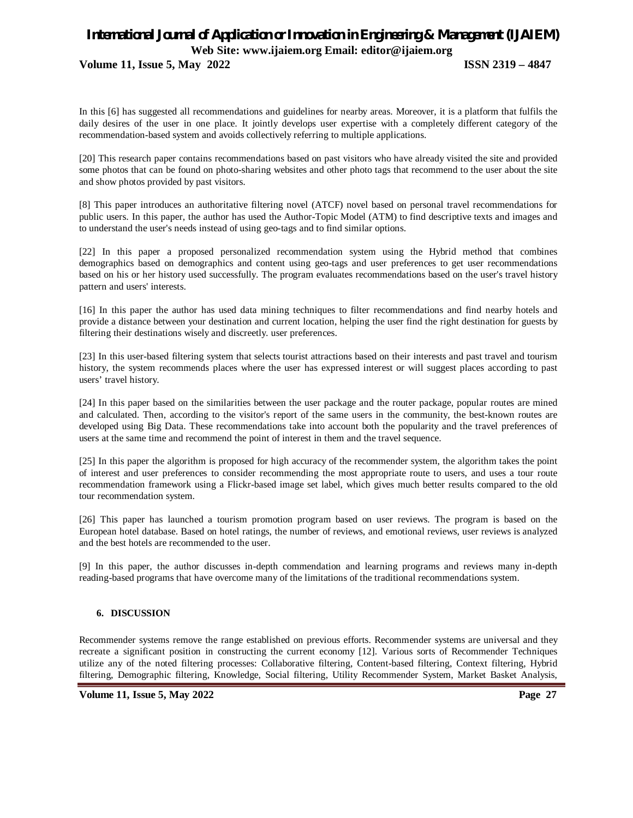**Volume 11, Issue 5, May 2022 ISSN 2319 – 4847**

In this [6] has suggested all recommendations and guidelines for nearby areas. Moreover, it is a platform that fulfils the daily desires of the user in one place. It jointly develops user expertise with a completely different category of the recommendation-based system and avoids collectively referring to multiple applications.

[20] This research paper contains recommendations based on past visitors who have already visited the site and provided some photos that can be found on photo-sharing websites and other photo tags that recommend to the user about the site and show photos provided by past visitors.

[8] This paper introduces an authoritative filtering novel (ATCF) novel based on personal travel recommendations for public users. In this paper, the author has used the Author-Topic Model (ATM) to find descriptive texts and images and to understand the user's needs instead of using geo-tags and to find similar options.

[22] In this paper a proposed personalized recommendation system using the Hybrid method that combines demographics based on demographics and content using geo-tags and user preferences to get user recommendations based on his or her history used successfully. The program evaluates recommendations based on the user's travel history pattern and users' interests.

[16] In this paper the author has used data mining techniques to filter recommendations and find nearby hotels and provide a distance between your destination and current location, helping the user find the right destination for guests by filtering their destinations wisely and discreetly. user preferences.

[23] In this user-based filtering system that selects tourist attractions based on their interests and past travel and tourism history, the system recommends places where the user has expressed interest or will suggest places according to past users' travel history.

[24] In this paper based on the similarities between the user package and the router package, popular routes are mined and calculated. Then, according to the visitor's report of the same users in the community, the best-known routes are developed using Big Data. These recommendations take into account both the popularity and the travel preferences of users at the same time and recommend the point of interest in them and the travel sequence.

[25] In this paper the algorithm is proposed for high accuracy of the recommender system, the algorithm takes the point of interest and user preferences to consider recommending the most appropriate route to users, and uses a tour route recommendation framework using a Flickr-based image set label, which gives much better results compared to the old tour recommendation system.

[26] This paper has launched a tourism promotion program based on user reviews. The program is based on the European hotel database. Based on hotel ratings, the number of reviews, and emotional reviews, user reviews is analyzed and the best hotels are recommended to the user.

[9] In this paper, the author discusses in-depth commendation and learning programs and reviews many in-depth reading-based programs that have overcome many of the limitations of the traditional recommendations system.

# **6. DISCUSSION**

Recommender systems remove the range established on previous efforts. Recommender systems are universal and they recreate a significant position in constructing the current economy [12]. Various sorts of Recommender Techniques utilize any of the noted filtering processes: Collaborative filtering, Content-based filtering, Context filtering, Hybrid filtering, Demographic filtering, Knowledge, Social filtering, Utility Recommender System, Market Basket Analysis,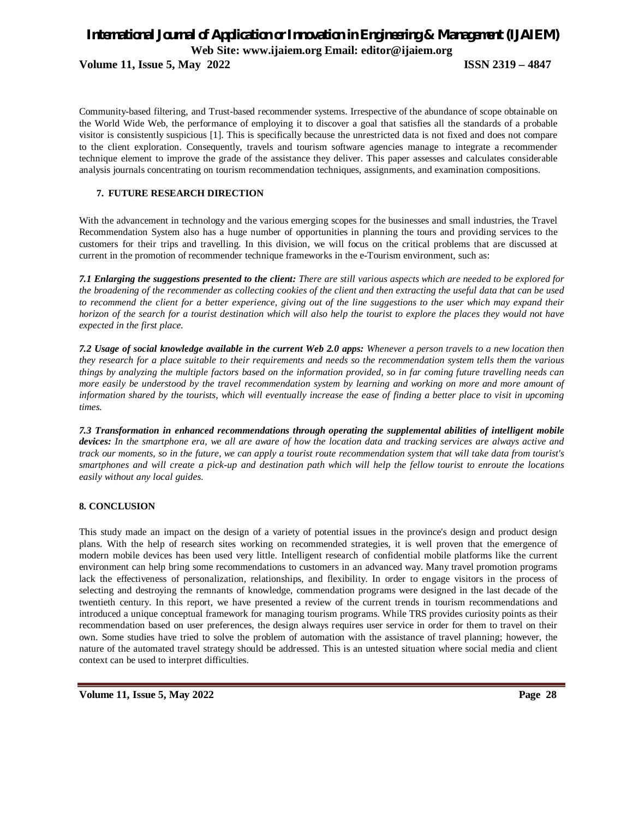**Volume 11, Issue 5, May 2022 ISSN 2319 – 4847**

Community-based filtering, and Trust-based recommender systems. Irrespective of the abundance of scope obtainable on the World Wide Web, the performance of employing it to discover a goal that satisfies all the standards of a probable visitor is consistently suspicious [1]. This is specifically because the unrestricted data is not fixed and does not compare to the client exploration. Consequently, travels and tourism software agencies manage to integrate a recommender technique element to improve the grade of the assistance they deliver. This paper assesses and calculates considerable analysis journals concentrating on tourism recommendation techniques, assignments, and examination compositions.

# **7. FUTURE RESEARCH DIRECTION**

With the advancement in technology and the various emerging scopes for the businesses and small industries, the Travel Recommendation System also has a huge number of opportunities in planning the tours and providing services to the customers for their trips and travelling. In this division, we will focus on the critical problems that are discussed at current in the promotion of recommender technique frameworks in the e-Tourism environment, such as:

*7.1 Enlarging the suggestions presented to the client: There are still various aspects which are needed to be explored for the broadening of the recommender as collecting cookies of the client and then extracting the useful data that can be used to recommend the client for a better experience, giving out of the line suggestions to the user which may expand their horizon of the search for a tourist destination which will also help the tourist to explore the places they would not have expected in the first place.* 

*7.2 Usage of social knowledge available in the current Web 2.0 apps: Whenever a person travels to a new location then they research for a place suitable to their requirements and needs so the recommendation system tells them the various things by analyzing the multiple factors based on the information provided, so in far coming future travelling needs can more easily be understood by the travel recommendation system by learning and working on more and more amount of information shared by the tourists, which will eventually increase the ease of finding a better place to visit in upcoming times.* 

*7.3 Transformation in enhanced recommendations through operating the supplemental abilities of intelligent mobile devices: In the smartphone era, we all are aware of how the location data and tracking services are always active and track our moments, so in the future, we can apply a tourist route recommendation system that will take data from tourist's smartphones and will create a pick-up and destination path which will help the fellow tourist to enroute the locations easily without any local guides.* 

# **8. CONCLUSION**

This study made an impact on the design of a variety of potential issues in the province's design and product design plans. With the help of research sites working on recommended strategies, it is well proven that the emergence of modern mobile devices has been used very little. Intelligent research of confidential mobile platforms like the current environment can help bring some recommendations to customers in an advanced way. Many travel promotion programs lack the effectiveness of personalization, relationships, and flexibility. In order to engage visitors in the process of selecting and destroying the remnants of knowledge, commendation programs were designed in the last decade of the twentieth century. In this report, we have presented a review of the current trends in tourism recommendations and introduced a unique conceptual framework for managing tourism programs. While TRS provides curiosity points as their recommendation based on user preferences, the design always requires user service in order for them to travel on their own. Some studies have tried to solve the problem of automation with the assistance of travel planning; however, the nature of the automated travel strategy should be addressed. This is an untested situation where social media and client context can be used to interpret difficulties.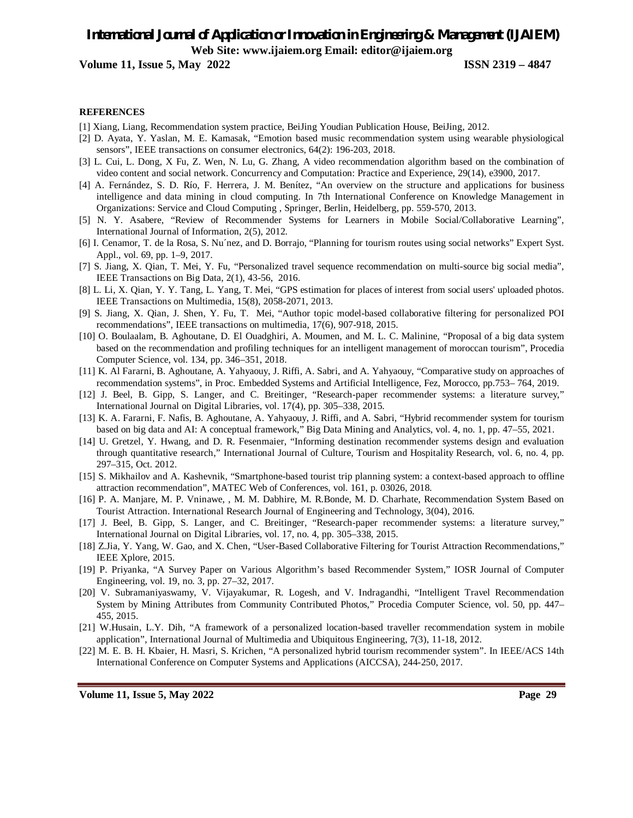**Volume 11, Issue 5, May 2022 ISSN 2319 – 4847**

#### **REFERENCES**

- [1] Xiang, Liang, Recommendation system practice, BeiJing Youdian Publication House, BeiJing, 2012.
- [2] D. Ayata, Y. Yaslan, M. E. Kamasak, "Emotion based music recommendation system using wearable physiological sensors", IEEE transactions on consumer electronics, 64(2): 196-203, 2018.
- [3] L. Cui, L. Dong, X Fu, Z. Wen, N. Lu, G. Zhang, A video recommendation algorithm based on the combination of video content and social network. Concurrency and Computation: Practice and Experience, 29(14), e3900, 2017.
- [4] A. Fernández, S. D. Río, F. Herrera, J. M. Benítez, "An overview on the structure and applications for business intelligence and data mining in cloud computing. In 7th International Conference on Knowledge Management in Organizations: Service and Cloud Computing , Springer, Berlin, Heidelberg, pp. 559-570, 2013.
- [5] N. Y. Asabere, "Review of Recommender Systems for Learners in Mobile Social/Collaborative Learning", International Journal of Information, 2(5), 2012.
- [6] I. Cenamor, T. de la Rosa, S. Nu´nez, and D. Borrajo, "Planning for tourism routes using social networks" Expert Syst. Appl., vol. 69, pp. 1–9, 2017.
- [7] S. Jiang, X. Qian, T. Mei, Y. Fu, "Personalized travel sequence recommendation on multi-source big social media", IEEE Transactions on Big Data, 2(1), 43-56, 2016.
- [8] L. Li, X. Qian, Y. Y. Tang, L. Yang, T. Mei, "GPS estimation for places of interest from social users' uploaded photos. IEEE Transactions on Multimedia, 15(8), 2058-2071, 2013.
- [9] S. Jiang, X. Qian, J. Shen, Y. Fu, T. Mei, "Author topic model-based collaborative filtering for personalized POI recommendations", IEEE transactions on multimedia, 17(6), 907-918, 2015.
- [10] O. Boulaalam, B. Aghoutane, D. El Ouadghiri, A. Moumen, and M. L. C. Malinine, "Proposal of a big data system based on the recommendation and profiling techniques for an intelligent management of moroccan tourism", Procedia Computer Science, vol. 134, pp. 346–351, 2018.
- [11] K. Al Fararni, B. Aghoutane, A. Yahyaouy, J. Riffi, A. Sabri, and A. Yahyaouy, "Comparative study on approaches of recommendation systems", in Proc. Embedded Systems and Artificial Intelligence, Fez, Morocco, pp.753– 764, 2019.
- [12] J. Beel, B. Gipp, S. Langer, and C. Breitinger, "Research-paper recommender systems: a literature survey," International Journal on Digital Libraries, vol. 17(4), pp. 305–338, 2015.
- [13] K. A. Fararni, F. Nafis, B. Aghoutane, A. Yahyaouy, J. Riffi, and A. Sabri, "Hybrid recommender system for tourism based on big data and AI: A conceptual framework," Big Data Mining and Analytics, vol. 4, no. 1, pp. 47–55, 2021.
- [14] U. Gretzel, Y. Hwang, and D. R. Fesenmaier, "Informing destination recommender systems design and evaluation through quantitative research," International Journal of Culture, Tourism and Hospitality Research, vol. 6, no. 4, pp. 297–315, Oct. 2012.
- [15] S. Mikhailov and A. Kashevnik, "Smartphone-based tourist trip planning system: a context-based approach to offline attraction recommendation", MATEC Web of Conferences, vol. 161, p. 03026, 2018.
- [16] P. A. Manjare, M. P. Vninawe, , M. M. Dabhire, M. R.Bonde, M. D. Charhate, Recommendation System Based on Tourist Attraction. International Research Journal of Engineering and Technology, 3(04), 2016.
- [17] J. Beel, B. Gipp, S. Langer, and C. Breitinger, "Research-paper recommender systems: a literature survey," International Journal on Digital Libraries, vol. 17, no. 4, pp. 305–338, 2015.
- [18] Z.Jia, Y. Yang, W. Gao, and X. Chen, "User-Based Collaborative Filtering for Tourist Attraction Recommendations," IEEE Xplore, 2015.
- [19] P. Priyanka, "A Survey Paper on Various Algorithm's based Recommender System," IOSR Journal of Computer Engineering, vol. 19, no. 3, pp. 27–32, 2017.
- [20] V. Subramaniyaswamy, V. Vijayakumar, R. Logesh, and V. Indragandhi, "Intelligent Travel Recommendation System by Mining Attributes from Community Contributed Photos," Procedia Computer Science, vol. 50, pp. 447– 455, 2015.
- [21] W.Husain, L.Y. Dih, "A framework of a personalized location-based traveller recommendation system in mobile application", International Journal of Multimedia and Ubiquitous Engineering, 7(3), 11-18, 2012.
- [22] M. E. B. H. Kbaier, H. Masri, S. Krichen, "A personalized hybrid tourism recommender system". In IEEE/ACS 14th International Conference on Computer Systems and Applications (AICCSA), 244-250, 2017.

**Volume 11, Issue 5, May 2022 Page 29**